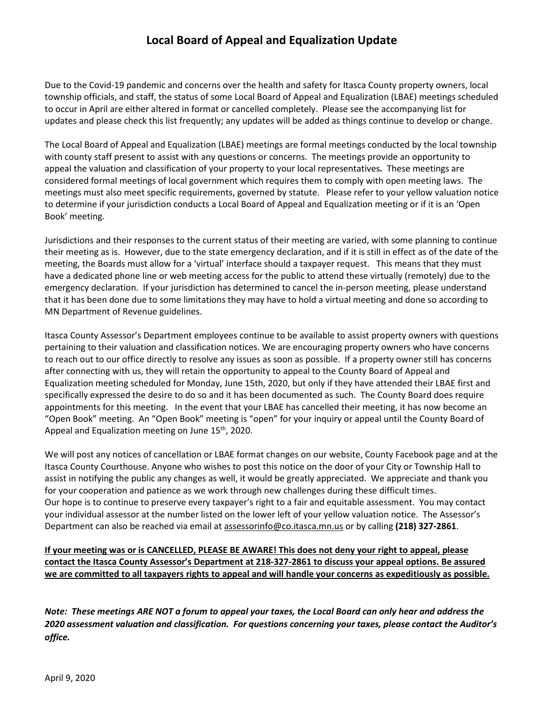## **Local Board of Appeal and Equalization Update**

Due to the Covid-19 pandemic and concerns over the health and safety for Itasca County property owners, local township officials, and staff, the status of some Local Board of Appeal and Equalization (LBAE) meetings scheduled to occur in April are either altered in format or cancelled completely. Please see the accompanying list for updates and please check this list frequently; any updates will be added as things continue to develop or change.

The Local Board of Appeal and Equalization (LBAE) meetings are formal meetings conducted by the local township with county staff present to assist with any questions or concerns. The meetings provide an opportunity to appeal the valuation and classification of your property to your local representatives*.* These meetings are considered formal meetings of local government which requires them to comply with open meeting laws. The meetings must also meet specific requirements, governed by statute. Please refer to your yellow valuation notice to determine if your jurisdiction conducts a Local Board of Appeal and Equalization meeting or if it is an 'Open Book' meeting.

Jurisdictions and their responses to the current status of their meeting are varied, with some planning to continue their meeting as is. However, due to the state emergency declaration, and if it is still in effect as of the date of the meeting, the Boards must allow for a 'virtual' interface should a taxpayer request. This means that they must have a dedicated phone line or web meeting access for the public to attend these virtually (remotely) due to the emergency declaration. If your jurisdiction has determined to cancel the in-person meeting, please understand that it has been done due to some limitations they may have to hold a virtual meeting and done so according to MN Department of Revenue guidelines.

Itasca County Assessor's Department employees continue to be available to assist property owners with questions pertaining to their valuation and classification notices. We are encouraging property owners who have concerns to reach out to our office directly to resolve any issues as soon as possible. If a property owner still has concerns after connecting with us, they will retain the opportunity to appeal to the County Board of Appeal and Equalization meeting scheduled for Monday, June 15th, 2020, but only if they have attended their LBAE first and specifically expressed the desire to do so and it has been documented as such. The County Board does require appointments for this meeting. In the event that your LBAE has cancelled their meeting, it has now become an "Open Book" meeting. An "Open Book" meeting is "open" for your inquiry or appeal until the County Board of Appeal and Equalization meeting on June  $15<sup>th</sup>$ , 2020.

We will post any notices of cancellation or LBAE format changes on our website, County Facebook page and at the Itasca County Courthouse. Anyone who wishes to post this notice on the door of your City or Township Hall to assist in notifying the public any changes as well, it would be greatly appreciated. We appreciate and thank you for your cooperation and patience as we work through new challenges during these difficult times. Our hope is to continue to preserve every taxpayer's right to a fair and equitable assessment. You may contact your individual assessor at the number listed on the lower left of your yellow valuation notice. The Assessor's Department can also be reached via email at [assessorinfo@co.itasca.mn.us](mailto:assessorinfo@co.itasca.mn.us) or by calling **(218) 327-2861**.

If your meeting was or is CANCELLED, PLEASE BE AWARE! This does not deny your right to appeal, please **contact the Itasca County Assessor's Department at 218-327-2861 to discuss your appeal options. Be assured** we are committed to all taxpayers rights to appeal and will handle your concerns as expeditiously as possible.

*Note: These meetings ARE NOT a forum to appeal your taxes, the Local Board can only hear and address the 2020 assessment valuation and classification. For questions concerning your taxes, please contact the Auditor's office.*